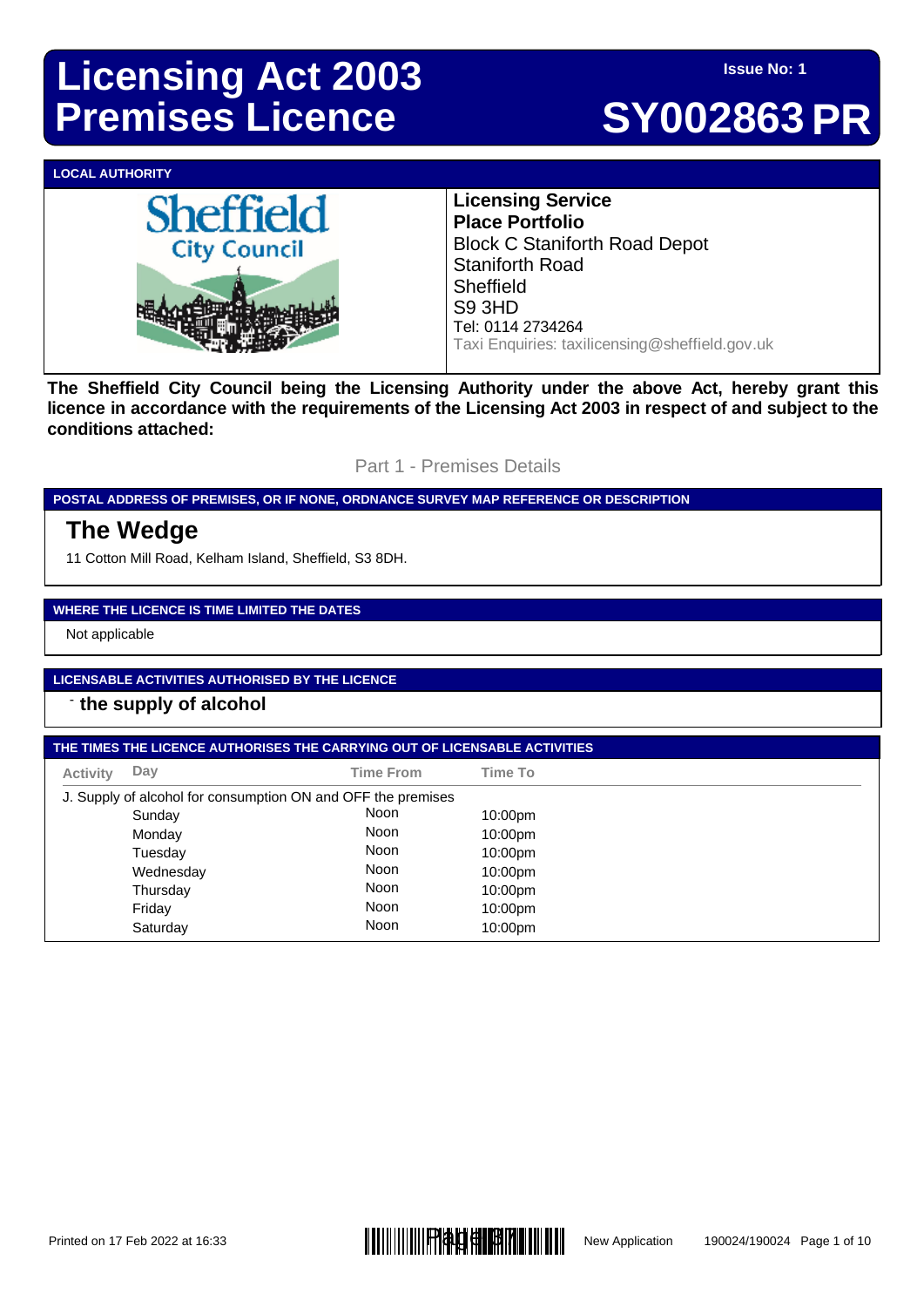**Issue No: 1**

**LOCAL AUTHORITY**



**Licensing Service Place Portfolio** Block C Staniforth Road Depot Staniforth Road **Sheffield** S9 3HD Tel: 0114 2734264 Taxi Enquiries: taxilicensing@sheffield.gov.uk

**The Sheffield City Council being the Licensing Authority under the above Act, hereby grant this** licence in accordance with the requirements of the Licensing Act 2003 in respect of and subject to the **conditions attached:**

Part 1 - Premises Details

**POSTAL ADDRESS OF PREMISES, OR IF NONE, ORDNANCE SURVEY MAP REFERENCE OR DESCRIPTION**

## **The Wedge**

11 Cotton Mill Road, Kelham Island, Sheffield, S3 8DH.

### **WHERE THE LICENCE IS TIME LIMITED THE DATES**

Not applicable

### **LICENSABLE ACTIVITIES AUTHORISED BY THE LICENCE**

### the supply of alcohol

**THE TIMES THE LICENCE AUTHORISES THE CARRYING OUT OF LICENSABLE ACTIVITIES**

| Day<br><b>Activity</b>                                       | <b>Time From</b> | Time To |  |  |  |
|--------------------------------------------------------------|------------------|---------|--|--|--|
| J. Supply of alcohol for consumption ON and OFF the premises |                  |         |  |  |  |
| Sunday                                                       | Noon             | 10:00pm |  |  |  |
| Monday                                                       | Noon             | 10:00pm |  |  |  |
| Tuesday                                                      | Noon             | 10:00pm |  |  |  |
| Wednesday                                                    | Noon             | 10:00pm |  |  |  |
| Thursday                                                     | Noon             | 10:00pm |  |  |  |
| Friday                                                       | Noon             | 10:00pm |  |  |  |
| Saturday                                                     | Noon             | 10:00pm |  |  |  |
|                                                              |                  |         |  |  |  |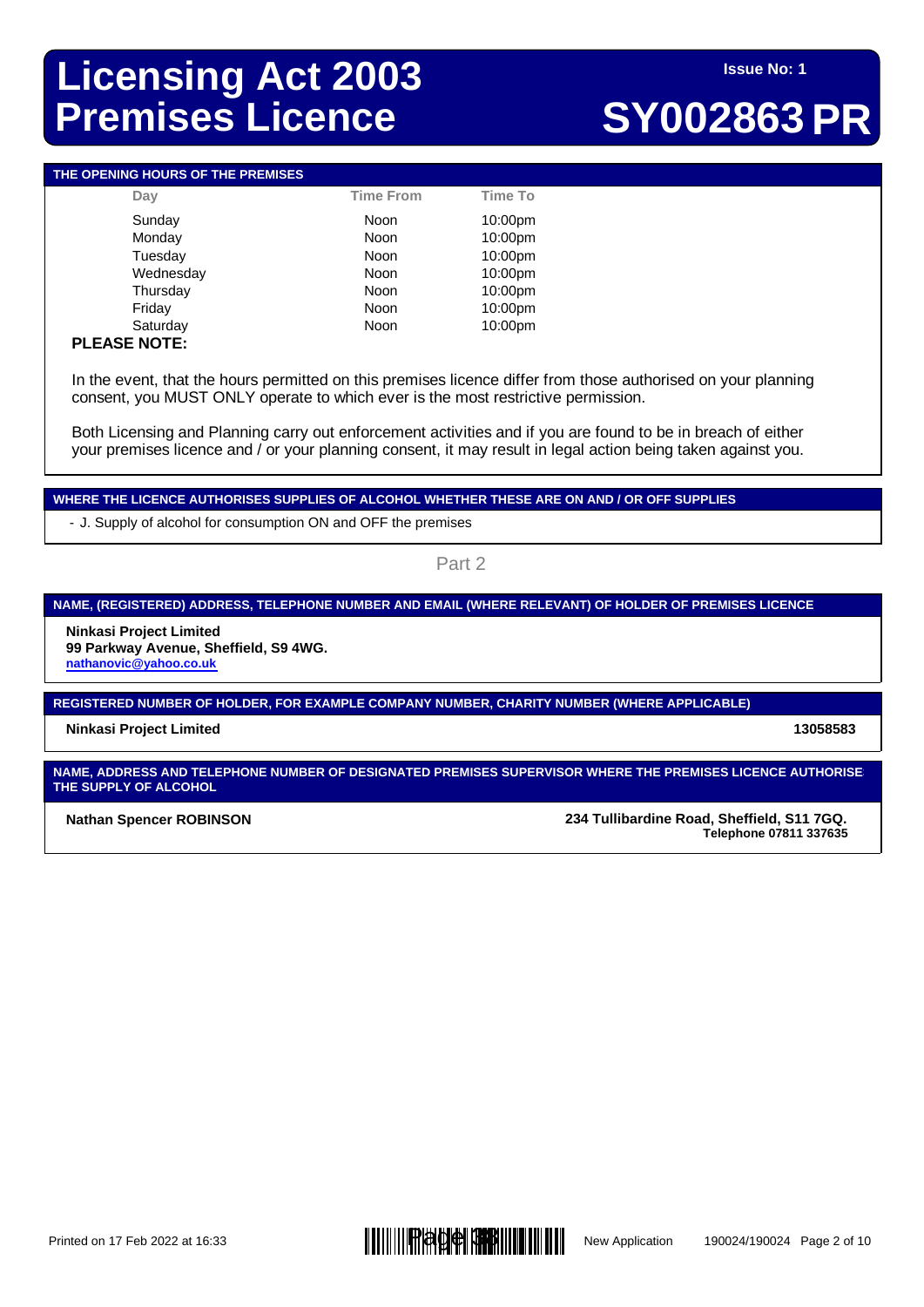**Issue No: 1**

#### **THE OPENING HOURS OF THE PREMISES**

| Day       | <b>Time From</b> | <b>Time To</b> |
|-----------|------------------|----------------|
| Sunday    | Noon             | 10:00pm        |
| Monday    | Noon             | 10:00pm        |
| Tuesday   | Noon             | 10:00pm        |
| Wednesday | Noon             | 10:00pm        |
| Thursday  | Noon             | 10:00pm        |
| Friday    | Noon             | 10:00pm        |
| Saturday  | Noon             | 10:00pm        |
|           |                  |                |

## **PLEASE NOTE:**

In the event, that the hours permitted on this premises licence differ from those authorised on your planning consent, you MUST ONLY operate to which ever is the most restrictive permission.

Both Licensing and Planning carry out enforcement activities and if you are found to be in breach of either your premises licence and / or your planning consent, it may result in legal action being taken against you.

#### **WHERE THE LICENCE AUTHORISES SUPPLIES OF ALCOHOL WHETHER THESE ARE ON AND / OR OFF SUPPLIES**

- J. Supply of alcohol for consumption ON and OFF the premises

Part 2

#### **NAME, (REGISTERED) ADDRESS, TELEPHONE NUMBER AND EMAIL (WHERE RELEVANT) OF HOLDER OF PREMISES LICENCE**

**[nathanovic@](mailto:nathanovic@yahoo.co.uk)yahoo.co.uk 99 Parkway Avenue, Sheffield, S9 4WG. Ninkasi Project Limited**

**REGISTERED NUMBER OF HOLDER, FOR EXAMPLE COMPANY NUMBER, CHARITY NUMBER (WHERE APPLICABLE)**

**Ninkasi Project Limited 13058583**

**NAME, ADDRESS AND TELEPHONE NUMBER OF DESIGNATED PREMISES SUPERVISOR WHERE THE PREMISES LICENCE AUTHORISES THE SUPPLY OF ALCOHOL**

**Nathan Spencer ROBINSON 234 Tullibardine Road, Sheffield, S11 7GQ. Telephone 07811 337635**

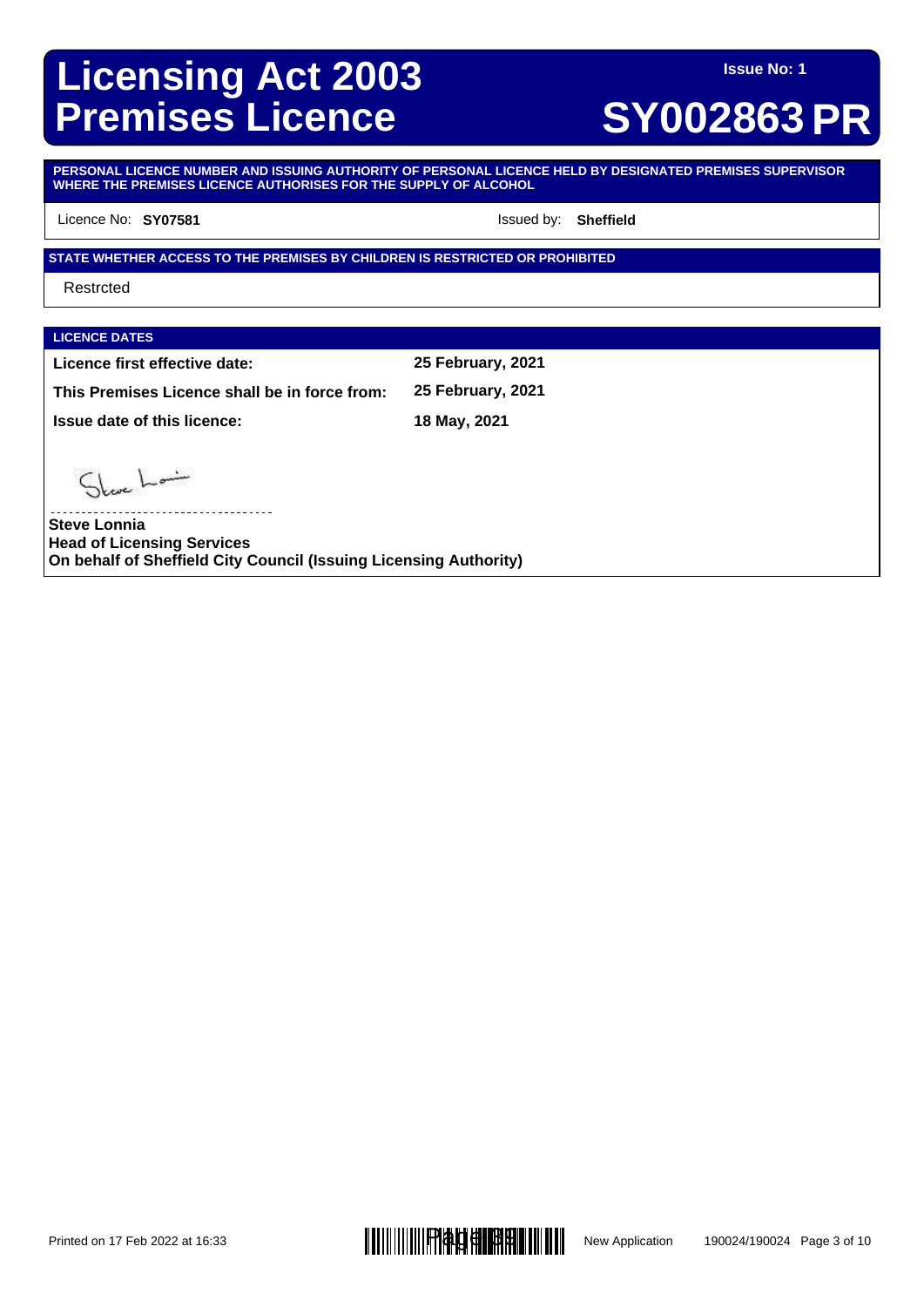**Issue No: 1**

**PERSONAL LICENCE NUMBER AND ISSUING AUTHORITY OF PERSONAL LICENCE HELD BY DESIGNATED PREMISES SUPERVISOR WHERE THE PREMISES LICENCE AUTHORISES FOR THE SUPPLY OF ALCOHOL**

Licence No: **SY07581** Issued by: **Sheffield** 

**STATE WHETHER ACCESS TO THE PREMISES BY CHILDREN IS RESTRICTED OR PROHIBITED**

Restrcted

#### **LICENCE DATES**

**Licence first effective date: 25 February, 2021**

**This Premises Licence shall be in force from: 25 February, 2021**

**Issue date of this licence: 18 May, 2021**

سنسمله

**Steve Lonnia Head of Licensing Services On behalf of Sheffield City Council (Issuing Licensing Authority)**

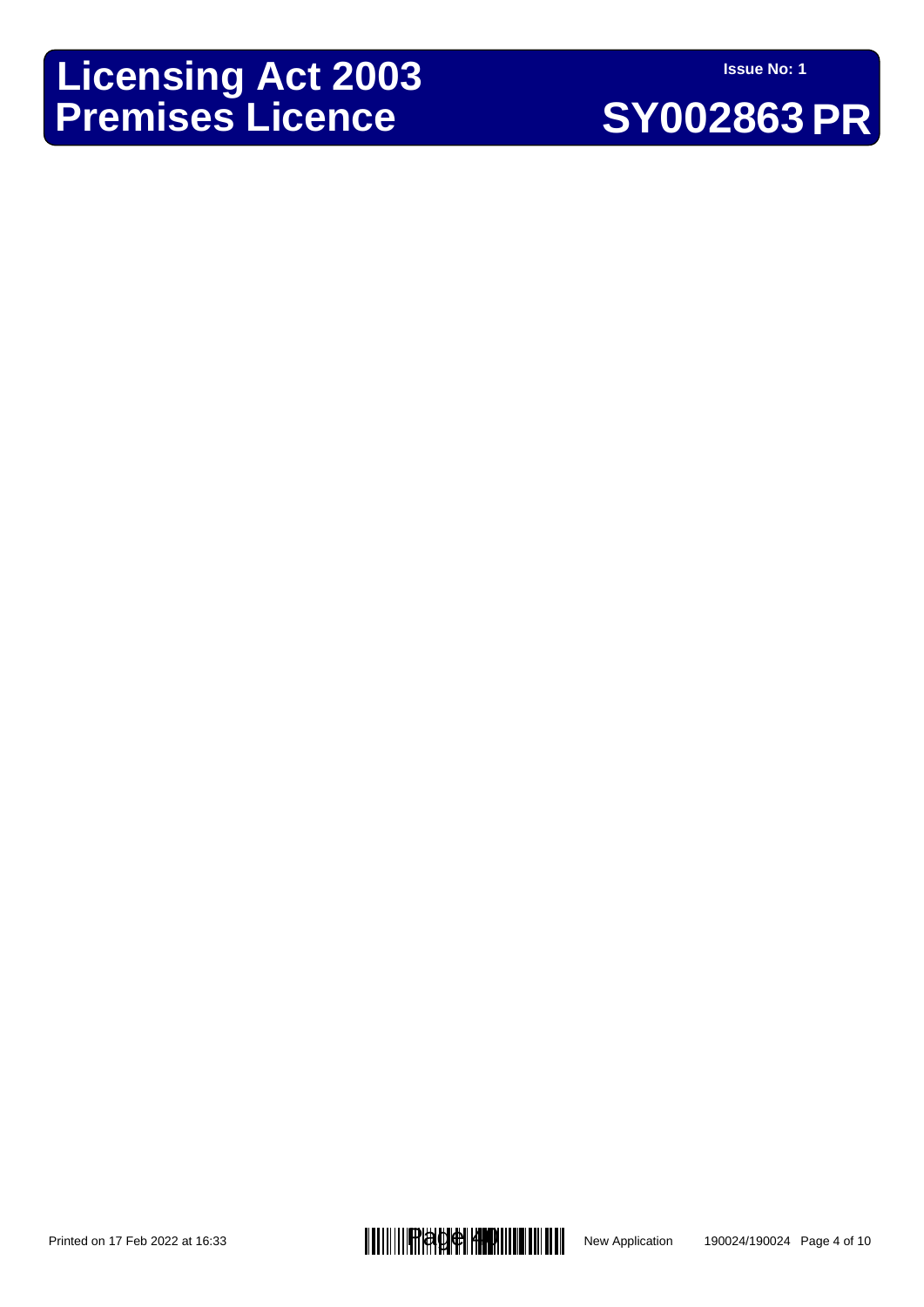**Issue No: 1**



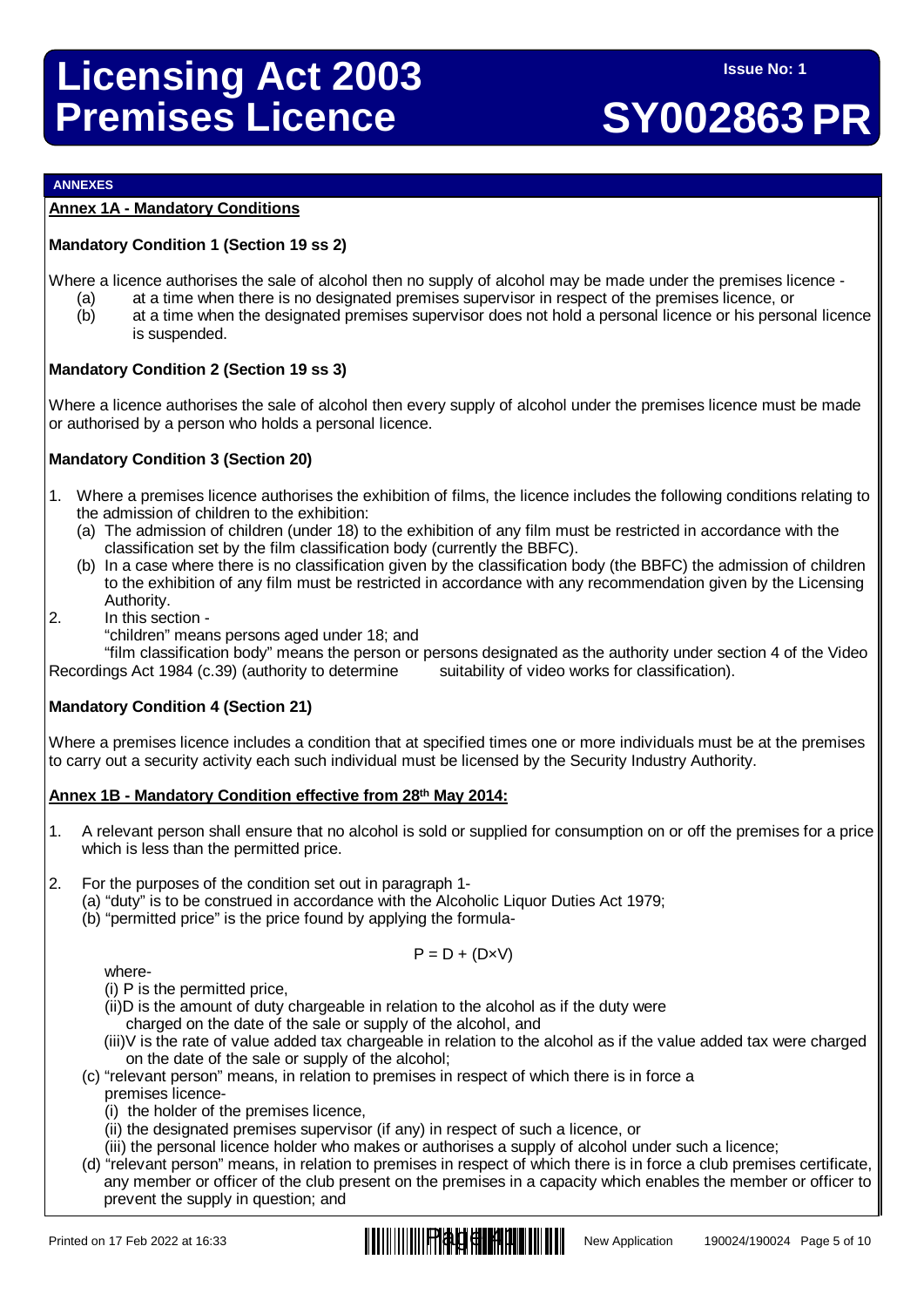#### **Issue No: 1**

#### **ANNEXES**

#### **Annex 1A - Mandatory Conditions**

#### **Mandatory Condition 1 (Section 19 ss 2)**

Where a licence authorises the sale of alcohol then no supply of alcohol may be made under the premises licence -

- (a) at a time when there is no designated premises supervisor in respect of the premises licence, or
- (b) at a time when the designated premises supervisor does not hold a personal licence or his personal licence is suspended.

#### **Mandatory Condition 2 (Section 19 ss 3)**

Where a licence authorises the sale of alcohol then every supply of alcohol under the premises licence must be made or authorised by a person who holds a personal licence.

### **Mandatory Condition 3 (Section 20)**

- 1. Where a premises licence authorises the exhibition of films, the licence includes the following conditions relating to the admission of children to the exhibition:
	- (a) The admission of children (under 18) to the exhibition of any film must be restricted in accordance with the classification set by the film classification body (currently the BBFC).
	- (b) In a case where there is no classification given by the classification body (the BBFC) the admission of children to the exhibition of any film must be restricted in accordance with any recommendation given by the Licensing Authority.
- 2. In this section
	- "children" means persons aged under 18; and

"film classification body" means the person or persons designated as the authority under section 4 of the Video Recordings Act 1984 (c.39) (authority to determine suitability of video works for classification).

#### **Mandatory Condition 4 (Section 21)**

Where a premises licence includes a condition that at specified times one or more individuals must be at the premises to carry out a security activity each such individual must be licensed by the Security Industry Authority.

#### **Annex 1B - Mandatory Condition effective from 28 th May 2014:**

- 1. A relevant person shall ensure that no alcohol is sold or supplied for consumption on or off the premises for a price which is less than the permitted price.
- 2. For the purposes of the condition set out in paragraph 1-
	- (a) "duty" is to be construed in accordance with the Alcoholic Liquor Duties Act 1979;
	- (b) "permitted price" is the price found by applying the formula-

$$
P = D + (D \times V)
$$

where-

(i) P is the permitted price,

- (ii)D is the amount of duty chargeable in relation to the alcohol as if the duty were charged on the date of the sale or supply of the alcohol, and
- (iii)V is the rate of value added tax chargeable in relation to the alcohol as if the value added tax were charged on the date of the sale or supply of the alcohol;
- (c) "relevant person" means, in relation to premises in respect of which there is in force a premises licence-
	- (i) the holder of the premises licence,
	- (ii) the designated premises supervisor (if any) in respect of such a licence, or
	- (iii) the personal licence holder who makes or authorises a supply of alcohol under such a licence;
- (d) "relevant person" means, in relation to premises in respect of which there is in force a club premises certificate, any member or officer of the club present on the premises in a capacity which enables the member or officer to prevent the supply in question; and

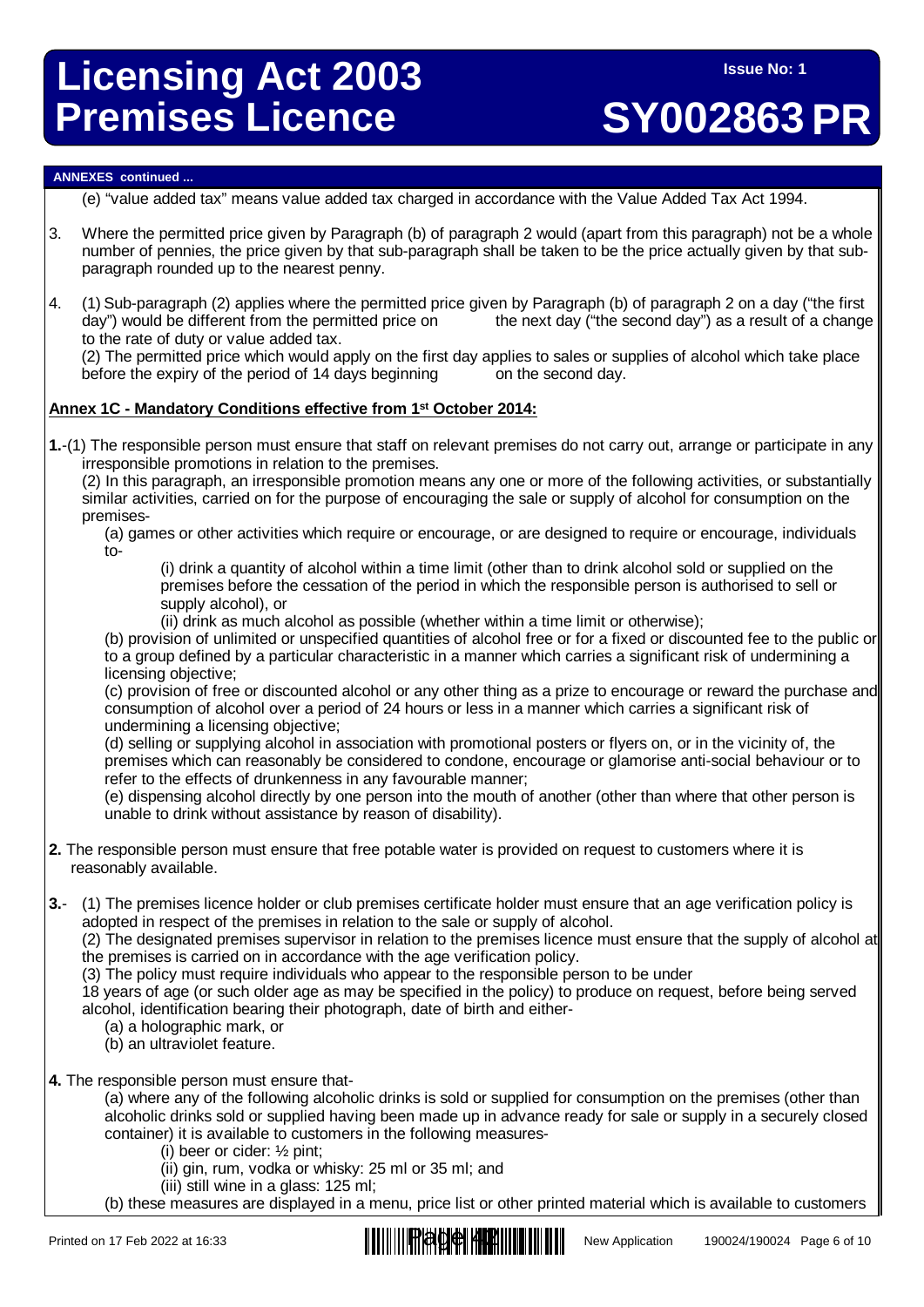**Issue No: 1**

#### **ANNEXES continued ...**

(e) "value added tax" means value added tax charged in accordance with the Value Added Tax Act 1994.

- 3. Where the permitted price given by Paragraph (b) of paragraph 2 would (apart from this paragraph) not be a whole number of pennies, the price given by that sub-paragraph shall be taken to be the price actually given by that sub paragraph rounded up to the nearest penny.
- 4. (1) Sub-paragraph (2) applies where the permitted price given by Paragraph (b) of paragraph 2 on a day ("the first day") would be different from the permitted price on the next day ("the second day") as a result of a change to the rate of duty or value added tax.

(2) The permitted price which would apply on the first day applies to sales or supplies of alcohol which take place before the expiry of the period of 14 days beginning on the second day.

#### **Annex 1C - Mandatory Conditions effective from 1 st October 2014:**

**1.**-(1) The responsible person must ensure that staff on relevant premises do not carry out, arrange or participate in any irresponsible promotions in relation to the premises.

(2) In this paragraph, an irresponsible promotion means any one or more of the following activities, or substantially similar activities, carried on for the purpose of encouraging the sale or supply of alcohol for consumption on the premises-

(a) games or other activities which require or encourage, or are designed to require or encourage, individuals  $t_0$ 

(i) drink a quantity of alcohol within a time limit (other than to drink alcohol sold or supplied on the premises before the cessation of the period in which the responsible person is authorised to sell or supply alcohol), or

(ii) drink as much alcohol as possible (whether within a time limit or otherwise);

(b) provision of unlimited or unspecified quantities of alcohol free or for a fixed or discounted fee to the public or to a group defined by a particular characteristic in a manner which carries a significant risk of undermining a licensing objective;

(c) provision of free or discounted alcohol or any other thing as a prize to encourage or reward the purchase and consumption of alcohol over a period of 24 hours or less in a manner which carries a significant risk of undermining a licensing objective;

(d) selling or supplying alcohol in association with promotional posters or flyers on, or in the vicinity of, the premises which can reasonably be considered to condone, encourage or glamorise anti-social behaviour or to refer to the effects of drunkenness in any favourable manner;

(e) dispensing alcohol directly by one person into the mouth of another (other than where that other person is unable to drink without assistance by reason of disability).

- **2.** The responsible person must ensure that free potable water is provided on request to customers where it is reasonably available.
- **3.** (1) The premises licence holder or club premises certificate holder must ensure that an age verification policy is adopted in respect of the premises in relation to the sale or supply of alcohol.

(2) The designated premises supervisor in relation to the premises licence must ensure that the supply of alcohol at the premises is carried on in accordance with the age verification policy.

(3) The policy must require individuals who appear to the responsible person to be under

18 years of age (or such older age as may be specified in the policy) to produce on request, before being served alcohol, identification bearing their photograph, date of birth and either-

- (a) a holographic mark, or
- (b) an ultraviolet feature.

**4.** The responsible person must ensure that-

(a) where any of the following alcoholic drinks is sold or supplied for consumption on the premises (other than alcoholic drinks sold or supplied having been made up in advance ready for sale or supply in a securely closed container) it is available to customers in the following measures-

- (i) beer or cider: ½ pint;
- (ii) gin, rum, vodka or whisky: 25 ml or 35 ml; and
- (iii) still wine in a glass: 125 ml;
- (b) these measures are displayed in a menu, price list or other printed material which is available to customers

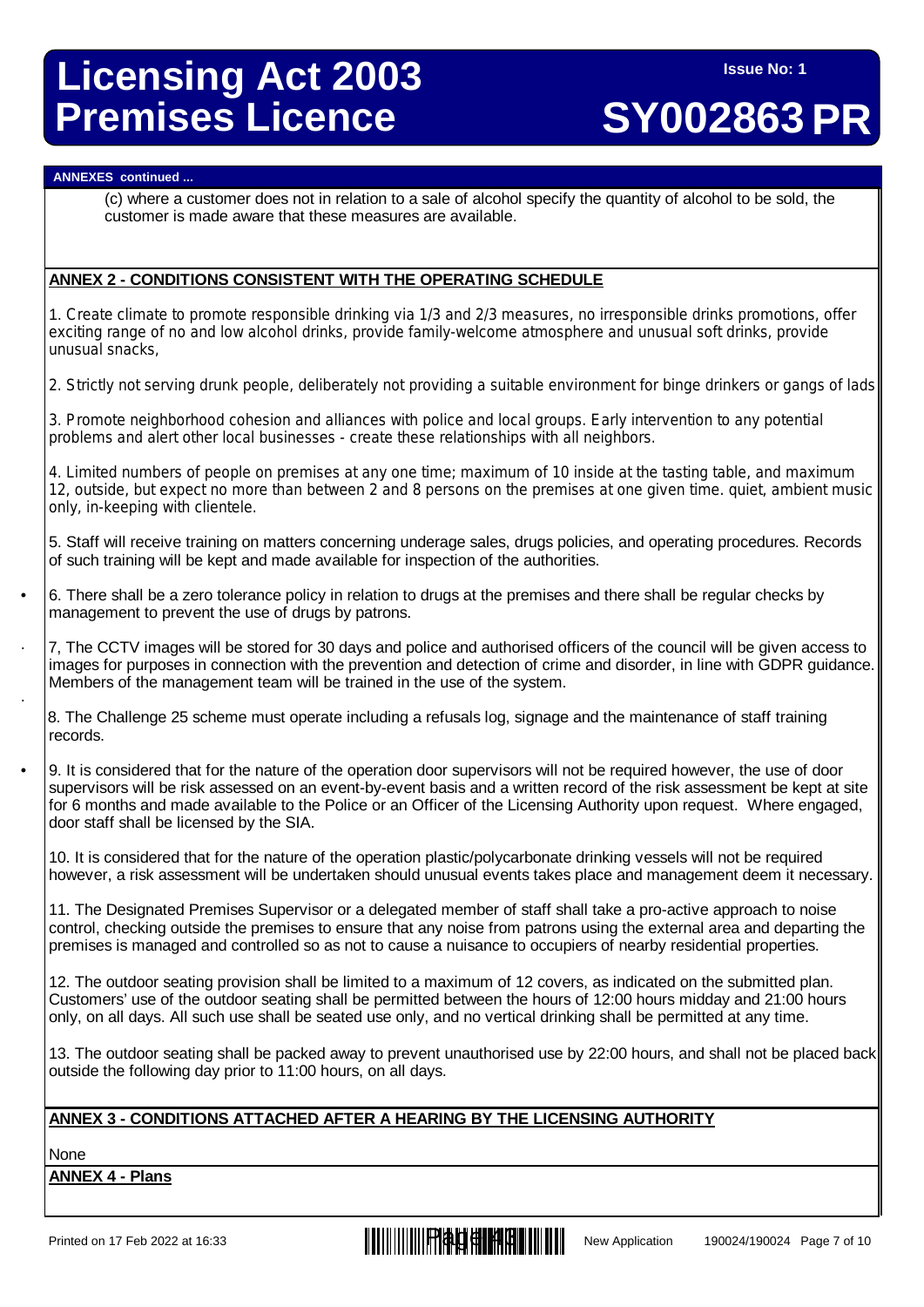**Issue No: 1**

#### **ANNEXES continued ...**

(c) where a customer does not in relation to a sale of alcohol specify the quantity of alcohol to be sold, the customer is made aware that these measures are available.

#### **ANNEX 2 - CONDITIONS CONSISTENT WITH THE OPERATING SCHEDULE**

1. Create climate to promote responsible drinking via 1/3 and 2/3 measures, no irresponsible drinks promotions, offer exciting range of no and low alcohol drinks, provide family-welcome atmosphere and unusual soft drinks, provide unusual snacks,

2. Strictly not serving drunk people, deliberately not providing a suitable environment for binge drinkers or gangs of lads

3. Promote neighborhood cohesion and alliances with police and local groups. Early intervention to any potential problems and alert other local businesses - create these relationships with all neighbors.

4. Limited numbers of people on premises at any one time; maximum of 10 inside at the tasting table, and maximum 12, outside, but expect no more than between 2 and 8 persons on the premises at one given time. quiet, ambient music only, in-keeping with clientele.

5. Staff will receive training on matters concerning underage sales, drugs policies, and operating procedures. Records of such training will be kept and made available for inspection of the authorities.

- 6. There shall be a zero tolerance policy in relation to drugs at the premises and there shall be regular checks by management to prevent the use of drugs by patrons.
- · 7, The CCTV images will be stored for 30 days and police and authorised officers of the council will be given access to images for purposes in connection with the prevention and detection of crime and disorder, in line with GDPR guidance. Members of the management team will be trained in the use of the system.
- · 8. The Challenge 25 scheme must operate including a refusals log, signage and the maintenance of staff training records.
- 9. It is considered that for the nature of the operation door supervisors will not be required however, the use of door supervisors will be risk assessed on an event-by-event basis and a written record of the risk assessment be kept at site for 6 months and made available to the Police or an Officer of the Licensing Authority upon request. Where engaged, door staff shall be licensed by the SIA.

10. It is considered that for the nature of the operation plastic/polycarbonate drinking vessels will not be required however, a risk assessment will be undertaken should unusual events takes place and management deem it necessary.

11. The Designated Premises Supervisor or a delegated member of staff shall take a pro-active approach to noise control, checking outside the premises to ensure that any noise from patrons using the external area and departing the premises is managed and controlled so as not to cause a nuisance to occupiers of nearby residential properties.

12. The outdoor seating provision shall be limited to a maximum of 12 covers, as indicated on the submitted plan. Customers' use of the outdoor seating shall be permitted between the hours of 12:00 hours midday and 21:00 hours only, on all days. All such use shall be seated use only, and no vertical drinking shall be permitted at any time.

13. The outdoor seating shall be packed away to prevent unauthorised use by 22:00 hours, and shall not be placed back outside the following day prior to 11:00 hours, on all days.

### **ANNEX 3 - CONDITIONS ATTACHED AFTER A HEARING BY THE LICENSING AUTHORITY**

None

### **ANNEX 4 - Plans**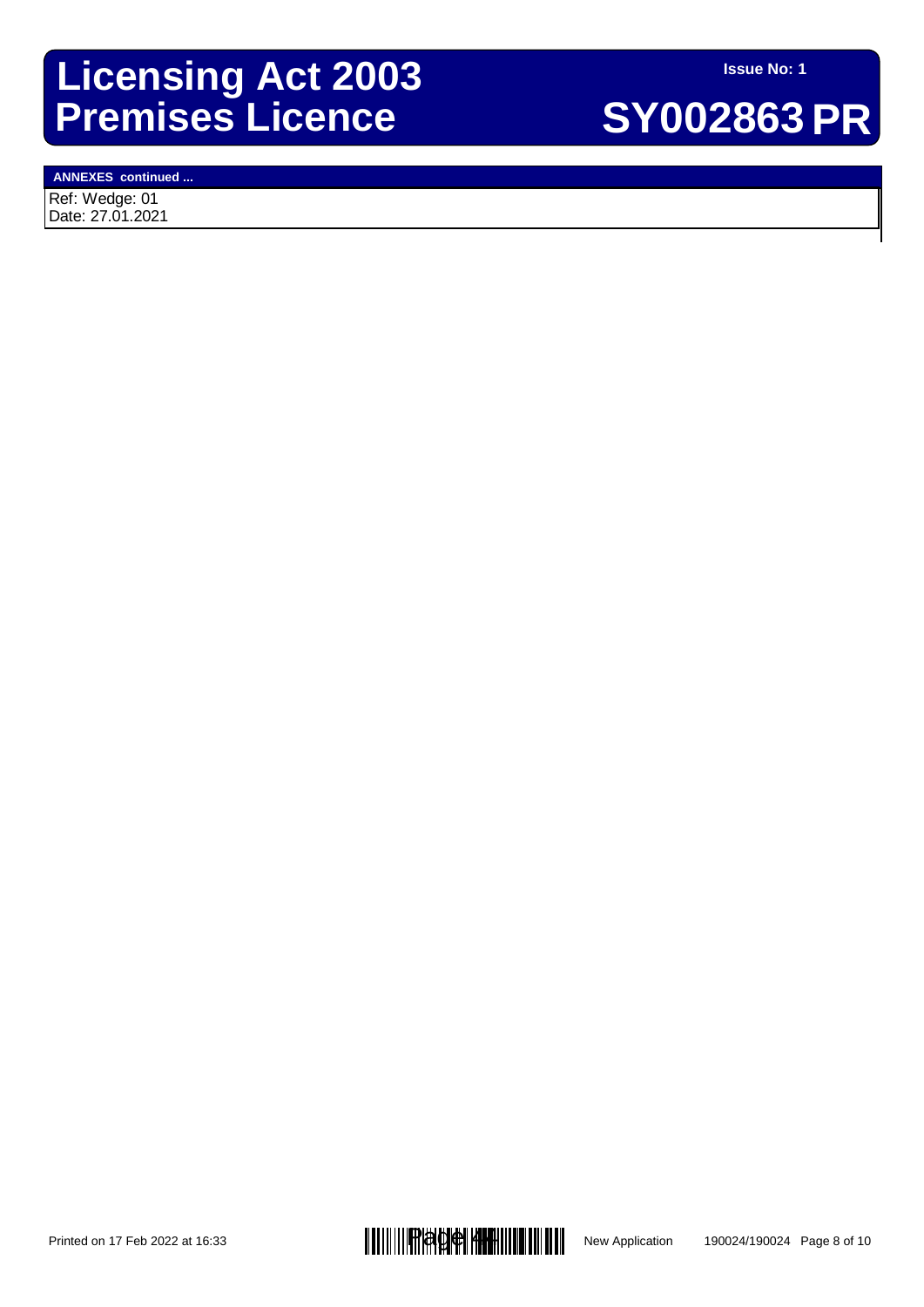**Issue No: 1**

# **Licensing Act 2003 Premises Licence SY002863PR**

**ANNEXES continued ...**

Ref: Wedge: 01 Date: 27.01.2021



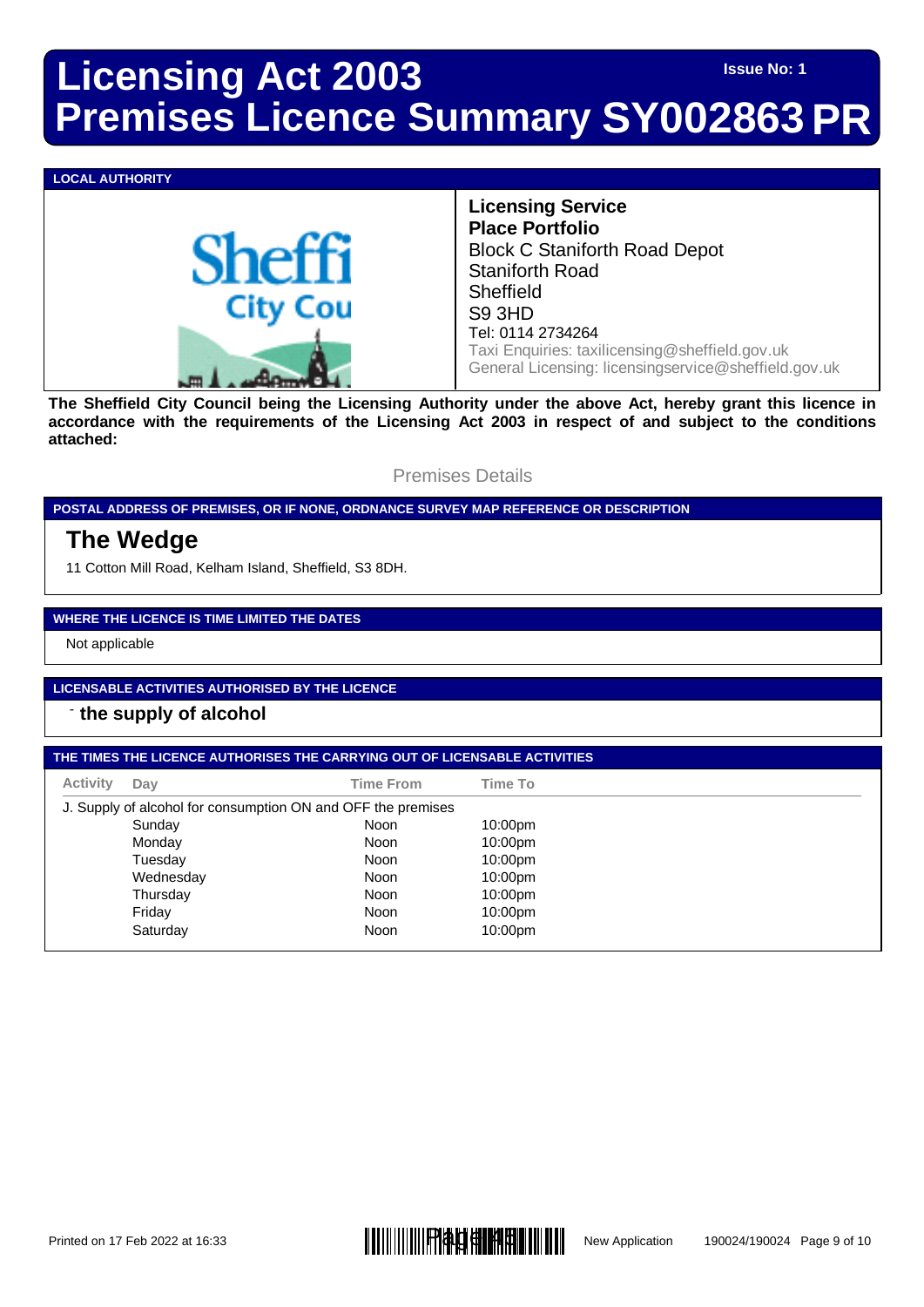**Licensing Act 2003 Premises Licence Summary SY002863PR Issue No: 1**

#### **LOCAL AUTHORITY**



**Licensing Service Place Portfolio** Block C Staniforth Road Depot Staniforth Road Sheffield S9 3HD Tel: 0114 2734264 Taxi Enquiries: taxilicensing@sheffield.gov.uk General Licensing: licensingservice@sheffield.gov.uk

The Sheffield City Council being the Licensing Authority under the above Act, hereby grant this licence in **accordance with the requirements of the Licensing Act 2003 in respect of and subject to the conditions attached:**

Premises Details

#### **POSTAL ADDRESS OF PREMISES, OR IF NONE, ORDNANCE SURVEY MAP REFERENCE OR DESCRIPTION**

## **The Wedge**

11 Cotton Mill Road, Kelham Island, Sheffield, S3 8DH.

#### **WHERE THE LICENCE IS TIME LIMITED THE DATES**

Not applicable

#### **LICENSABLE ACTIVITIES AUTHORISED BY THE LICENCE**

### the supply of alcohol

**THE TIMES THE LICENCE AUTHORISES THE CARRYING OUT OF LICENSABLE ACTIVITIES**

| <b>Activity</b>                                              | Dav       | Time From   | Time To |  |  |  |  |
|--------------------------------------------------------------|-----------|-------------|---------|--|--|--|--|
| J. Supply of alcohol for consumption ON and OFF the premises |           |             |         |  |  |  |  |
|                                                              | Sunday    | <b>Noon</b> | 10:00pm |  |  |  |  |
|                                                              | Monday    | <b>Noon</b> | 10:00pm |  |  |  |  |
|                                                              | Tuesday   | <b>Noon</b> | 10:00pm |  |  |  |  |
|                                                              | Wednesday | Noon        | 10:00pm |  |  |  |  |
|                                                              | Thursday  | <b>Noon</b> | 10:00pm |  |  |  |  |
|                                                              | Friday    | <b>Noon</b> | 10:00pm |  |  |  |  |
|                                                              | Saturday  | Noon        | 10:00pm |  |  |  |  |
|                                                              |           |             |         |  |  |  |  |